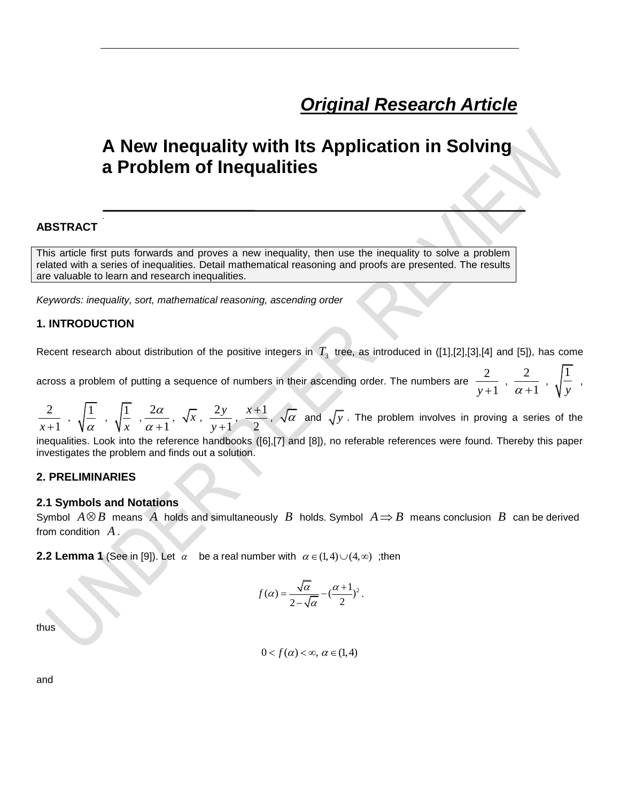# *Original Research Article*

## **A New Inequality with Its Application in Solving a Problem of Inequalities**

## **ABSTRACT**

.

This article first puts forwards and proves a new inequality, then use the inequality to solve a problem related with a series of inequalities. Detail mathematical reasoning and proofs are presented. The results are valuable to learn and research inequalities.

*Keywords: inequality, sort, mathematical reasoning, ascending order*

### **1. INTRODUCTION**

Recent research about distribution of the positive integers in  $\,T_{_3}\,$  tree, as introduced in ([1],[2],[3],[4] and [5]), has come

across a problem of putting a sequence of numbers in their ascending order. The numbers are  $\;\;\bar{\;\;}\;\;$  $\frac{2}{y+1}$ ,  $\frac{2}{\alpha}$  $\frac{2}{\alpha+1}$ ,  $\sqrt{\frac{1}{y}}$  $\frac{1}{y}$ ,

2  $\frac{2}{x+1}$ ,  $\sqrt{\frac{1}{\alpha}}$  $\frac{1}{\alpha}$ ,  $\sqrt{\frac{1}{x}}$ *x*  $\frac{2}{1}$ 1 α  $\alpha +$  $\sqrt{x}$ ,  $\frac{2}{x}$ 1 *y*  $\frac{2y}{y+1}, \frac{x+1}{2}$ 2  $\frac{x+1}{x-1}$ ,  $\sqrt{\alpha}$  and  $\sqrt{y}$ . The problem involves in proving a series of the inequalities. Look into the reference handbooks ([6],[7] and [8]), no referable references were found. Thereby this paper investigates the problem and finds out a solution.

## **2. PRELIMINARIES**

#### **2.1 Symbols and Notations**

Symbol  $A \otimes B$  means  $\overline{A}$  holds and simultaneously  $\overline{B}$  holds. Symbol  $A \Rightarrow B$  means conclusion  $\overline{B}$  can be derived from condition *A* .

**2.2 Lemma 1** (See in [9]). Let  $\alpha$  be a real number with  $\alpha \in (1,4) \cup (4,\infty)$ ; then

$$
f(\alpha) = \frac{\sqrt{\alpha}}{2 - \sqrt{\alpha}} - (\frac{\alpha + 1}{2})^2.
$$

thus

$$
0 < f(\alpha) < \infty, \ \alpha \in (1, 4)
$$

and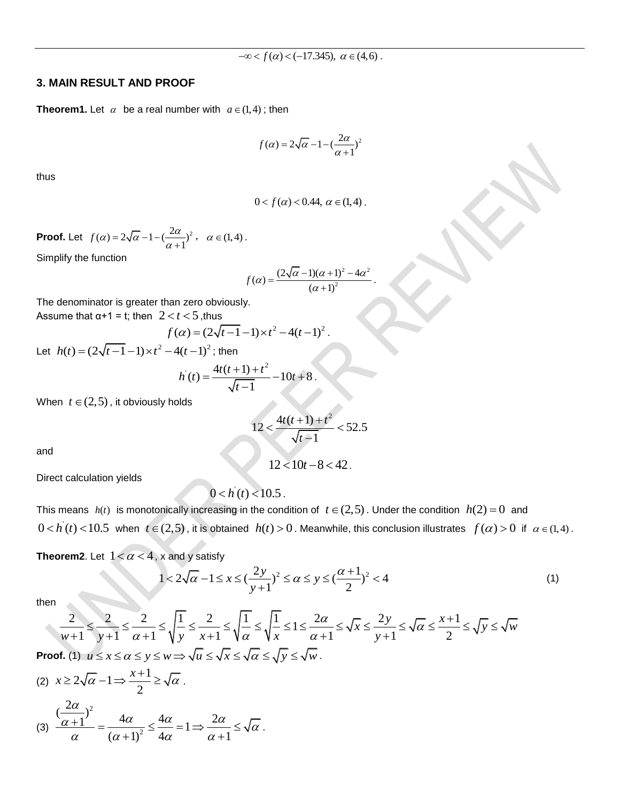#### **3. MAIN RESULT AND PROOF**

**Theorem1.** Let  $\alpha$  be a real number with  $a \in (1, 4)$ ; then

$$
f(\alpha) = 2\sqrt{\alpha} - 1 - \left(\frac{2\alpha}{\alpha + 1}\right)^2
$$

thus

$$
0 < f(\alpha) < 0.44, \ \alpha \in (1, 4).
$$

**Proof.** Let  $f(\alpha) = 2\sqrt{\alpha} - 1 - \left(\frac{2\alpha}{\alpha+1}\right)^2$ ,  $\alpha \in (1, 4)$ . Simplify the function

$$
f(\alpha) = \frac{(2\sqrt{\alpha} - 1)(\alpha + 1)^2 - 4\alpha^2}{(\alpha + 1)^2}.
$$

.

The denominator is greater than zero obviously. Assume that  $\alpha+1 = t$ ; then  $2 < t < 5$ , thus

$$
f(\alpha) = (2\sqrt{t-1} - 1) \times t^2 - 4(t-1)^2.
$$

Let  $h(t) = (2\sqrt{t-1} - 1) \times t^2 - 4(t-1)^2$ ; then

$$
h(t) = \frac{4t(t+1) + t^2}{\sqrt{t-1}} - 10t + 8.
$$

When  $t \in (2, 5)$ , it obviously holds

$$
12 < \frac{4t(t+1) + t^2}{\sqrt{t-1}} < 52.5
$$

 $12 < 10t - 8 < 42$ 

and

Direct calculation yields

$$
0 < h(t) < 10.5
$$

This means  $h(t)$  is monotonically increasing in the condition of  $t \in (2,5)$ . Under the condition  $h(2) = 0$  and  $0 < h(t) < 10.5$  when  $t \in (2, 5)$ , it is obtained  $h(t) > 0$ . Meanwhile, this conclusion illustrates  $f(\alpha) > 0$  if  $\alpha \in (1, 4)$ .

**Theorem2.** Let  $1 < \alpha < 4$ , x and y satisfy

x and y satisfy  
\n
$$
1 < 2\sqrt{\alpha} - 1 \le x \le \left(\frac{2y}{y+1}\right)^2 \le \alpha \le y \le \left(\frac{\alpha+1}{2}\right)^2 < 4
$$
\n
$$
\le \sqrt{\frac{1}{y}} \le \frac{2}{x+1} \le \sqrt{\frac{1}{\alpha}} \le \sqrt{\frac{1}{x}} \le 1 \le \frac{2\alpha}{\alpha+1} \le \sqrt{x} \le \frac{2y}{y+1} \le \sqrt{\alpha} \le \frac{x+1}{2} \le \sqrt{y} \le \sqrt{w}
$$
\n(1)

then

$$
1 < 2\sqrt{\alpha} - 1 \le x \le \left(\frac{2y}{y+1}\right)^2 \le \alpha \le y \le \left(\frac{\alpha+1}{2}\right)^2 < 4
$$
  
\n
$$
\frac{2}{w+1} \le \frac{2}{y+1} \le \frac{2}{\alpha+1} \le \sqrt{\frac{1}{y}} \le \frac{2}{x+1} \le \sqrt{\frac{1}{\alpha}} \le \sqrt{\frac{1}{x}} \le 1 \le \frac{2\alpha}{\alpha+1} \le \sqrt{x} \le \frac{2y}{y+1} \le \sqrt{\alpha} \le \frac{x+1}{2} \le \sqrt{y} \le \sqrt{w}
$$
  
\nIf, (1)  $u \le x \le \alpha \le y \le w \Rightarrow \sqrt{u} \le \sqrt{x} \le \sqrt{\alpha} \le \sqrt{y} \le \sqrt{w}$ .

**Proof** 

(2) 
$$
x \ge 2\sqrt{\alpha} - 1 \Rightarrow \frac{x+1}{2} \ge \sqrt{\alpha}
$$
.  
\n(3) 
$$
\frac{(\frac{2\alpha}{\alpha+1})^2}{\alpha} = \frac{4\alpha}{(\alpha+1)^2} \le \frac{4\alpha}{4\alpha} = 1 \Rightarrow \frac{2\alpha}{\alpha+1} \le \sqrt{\alpha}
$$
.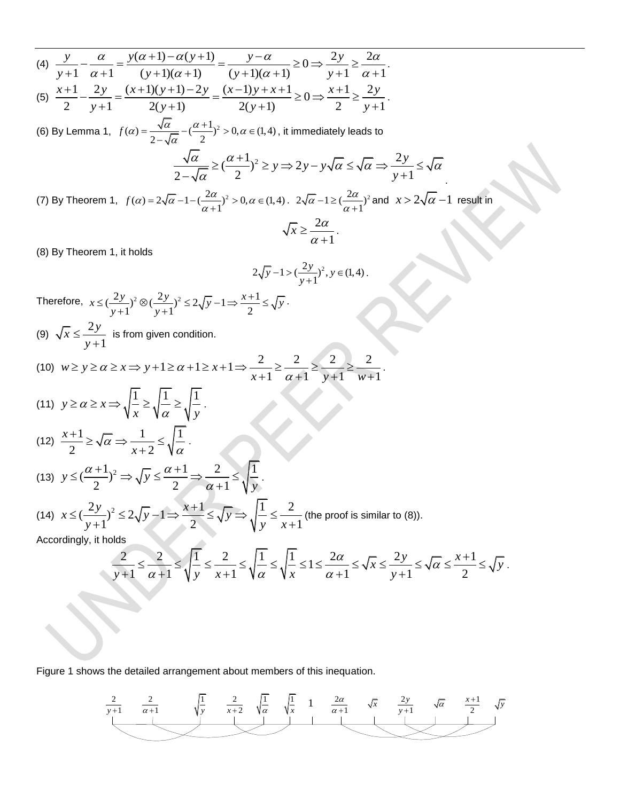(a) 
$$
\frac{y}{y+1} - \frac{a}{\alpha+1} = \frac{y(\alpha+1) - \alpha(y+1)}{(y+1)(\alpha+1)} = \frac{y-\alpha}{(y+1)(\alpha+1)} \ge 0 \Rightarrow \frac{2y}{y+1} \ge \frac{2\alpha}{\alpha+1}
$$
  
\n(b)  $\frac{x+1}{2} - \frac{2y}{y+1} = \frac{(x+1)(y+1) - 2y}{2(y+1)} = \frac{(x-1)y+x+1}{2(y+1)} \ge 0 \Rightarrow \frac{x+1}{2} \ge \frac{2y}{y+1}$   
\n(c) By Lemma 1,  $f(\alpha) = \frac{\sqrt{\alpha}}{2-\sqrt{\alpha}} - (\frac{\alpha+1}{2})^2 > 0$ ,  $\alpha \in (1, 4)$ , it immediately leads to  $\frac{\sqrt{\alpha}}{2-\sqrt{\alpha}} \ge (\frac{\alpha+1}{2})^2 > 0$ ,  $\alpha \in (1, 4)$ ,  $2\sqrt{\alpha} - 1 \le (\frac{2\alpha}{\alpha+1})^2$  and  $x > 2\sqrt{\alpha} - 1$  result in  $\sqrt{x} \ge \frac{2\alpha}{\alpha+1}$ .  
\n(3) By Theorem 1, it holds  
\n $2\sqrt{y} - 1 > \frac{2\alpha}{y+1}$   
\n $2\sqrt{y} - 1 > \frac{2\alpha}{y+1}$   
\n $2\sqrt{y} - 1 > \frac{2\alpha}{y+1}$   
\n $2\sqrt{y} - 1 > \frac{2\alpha}{y+1}$   
\n(4)  $\sqrt{x} \le \frac{2y}{y+1}$  is from given condition.  
\n(10)  $w \ge y \ge \alpha \ge x \Rightarrow y+1 \ge \alpha + 1 \ge x+1 \Rightarrow \frac{2}{x+1} \ge \frac{2}{\alpha+1} \ge \frac{2}{y+1} \ge \frac{2}{w+1}$ .  
\n(11)  $y \ge \alpha \ge x \Rightarrow \sqrt{\frac{1}{x}} \ge \sqrt{\frac{1}{\alpha}} \ge \sqrt{\frac{1}{y}}$ .  
\n(12)  $\frac{x+1}{2} \ge \sqrt{\alpha} \Rightarrow \frac{1}{x+2} \le \sqrt{\frac{1}{\alpha}} \ge \sqrt{\frac{1}{y}}$ .  
\n(13)  $y \le (\frac{\alpha+1}{2$ 

Figure 1 shows the detailed arrangement about members of this inequation.